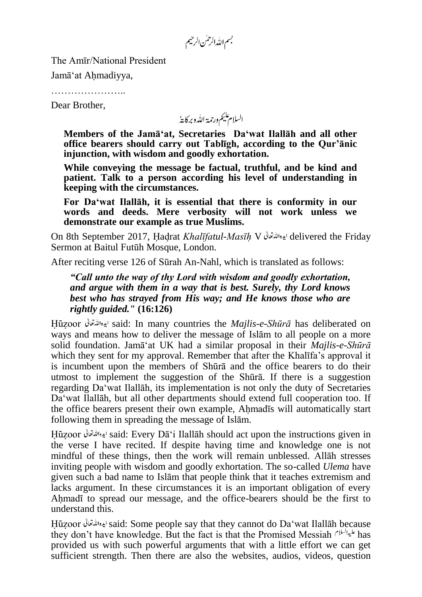بسم الله الرحمٰن الرحيم

The Amīr/National President

Jamā'at Ahmadiyya,

……………………

Dear Brother,

السلام عليم ورحمة الله وبركايةُ

**Members of the Jamā'at, Secretaries Da'wat Ilallāh and all other office bearers should carry out Tablīgh, according to the Qur'ānic injunction, with wisdom and goodly exhortation.**

**While conveying the message be factual, truthful, and be kind and patient. Talk to a person according his level of understanding in keeping with the circumstances.**

**For Da'wat Ilallāh, it is essential that there is conformity in our words and deeds. Mere verbosity will not work unless we demonstrate our example as true Muslims.**

On 8th September 2017, Hadrat *Khalīfatul-Masīh* V delivered the Friday Sermon at Baitul Futūh Mosque, London.

After reciting verse 126 of Sūrah An-Nahl, which is translated as follows:

*"Call unto the way of thy Lord with wisdom and goodly exhortation, and argue with them in a way that is best. Surely, thy Lord knows best who has strayed from His way; and He knows those who are rightly guided."* **(16:126)**

Huzoor said: In many countries the *Majlis-e-Shūrā* has deliberated on ways and means how to deliver the message of Islām to all people on a more solid foundation. Jamā'at UK had a similar proposal in their *Majlis-e-Shūrā* which they sent for my approval. Remember that after the Khalīfa's approval it is incumbent upon the members of Shūrā and the office bearers to do their utmost to implement the suggestion of the Shūrā. If there is a suggestion regarding Da'wat Ilallāh, its implementation is not only the duty of Secretaries Da'wat Ilallāh, but all other departments should extend full cooperation too. If the office bearers present their own example, Ahmadīs will automatically start following them in spreading the message of Islām.

Hūzoor ايده الله قعائل said: Every Dā'i Ilallāh should act upon the instructions given in the verse I have recited. If despite having time and knowledge one is not mindful of these things, then the work will remain unblessed. Allāh stresses inviting people with wisdom and goodly exhortation. The so-called *Ulema* have given such a bad name to Islām that people think that it teaches extremism and lacks argument. In these circumstances it is an important obligation of every Ahmadī to spread our message, and the office-bearers should be the first to understand this.

Huzoor said: Some people say that they cannot do Da'wat Ilallāh because they don't have knowledge. But the fact is that the Promised Messiah  $f^{\mu\nu}$  has provided us with such powerful arguments that with a little effort we can get sufficient strength. Then there are also the websites, audios, videos, question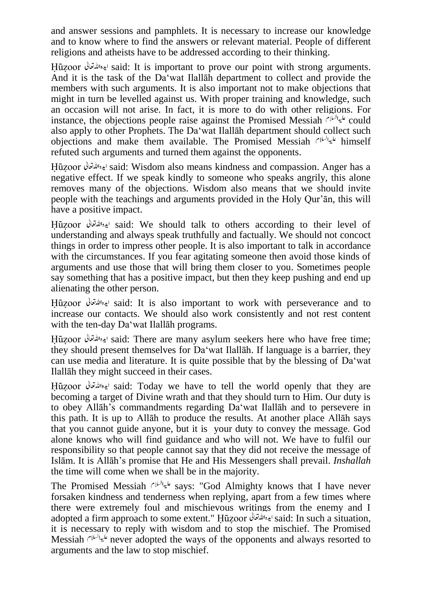and answer sessions and pamphlets. It is necessary to increase our knowledge and to know where to find the answers or relevant material. People of different religions and atheists have to be addressed according to their thinking.

Huzoor said: It is important to prove our point with strong arguments. And it is the task of the Da'wat Ilallāh department to collect and provide the members with such arguments. It is also important not to make objections that might in turn be levelled against us. With proper training and knowledge, such an occasion will not arise. In fact, it is more to do with other religions. For instance, the objections people raise against the Promised Messiah  $f^{\mu\nu}$  could also apply to other Prophets. The Da'wat Ilallāh department should collect such objections and make them available. The Promised Messiah diminself refuted such arguments and turned them against the opponents.

Huzoor said: Wisdom also means kindness and compassion. Anger has a negative effect. If we speak kindly to someone who speaks angrily, this alone removes many of the objections. Wisdom also means that we should invite people with the teachings and arguments provided in the Holy Qur'ān, this will have a positive impact.

Huzoor said: We should talk to others according to their level of understanding and always speak truthfully and factually. We should not concoct things in order to impress other people. It is also important to talk in accordance with the circumstances. If you fear agitating someone then avoid those kinds of arguments and use those that will bring them closer to you. Sometimes people say something that has a positive impact, but then they keep pushing and end up alienating the other person.

Huzoor said: It is also important to work with perseverance and to increase our contacts. We should also work consistently and not rest content with the ten-day Da'wat Ilallah programs.

Hūzoor ايده الله تعالى said: There are many asylum seekers here who have free time; they should present themselves for Da'wat Ilallāh. If language is a barrier, they can use media and literature. It is quite possible that by the blessing of Da'wat Ilallāh they might succeed in their cases.

Huzoor said: Today we have to tell the world openly that they are becoming a target of Divine wrath and that they should turn to Him. Our duty is to obey Allāh's commandments regarding Da'wat Ilallāh and to persevere in this path. It is up to Allāh to produce the results. At another place Allāh says that you cannot guide anyone, but it is your duty to convey the message. God alone knows who will find guidance and who will not. We have to fulfil our responsibility so that people cannot say that they did not receive the message of Islām. It is Allāh's promise that He and His Messengers shall prevail. *Inshallah* the time will come when we shall be in the majority.

The Promised Messiah  $s^{1/4}$ says: "God Almighty knows that I have never forsaken kindness and tenderness when replying, apart from a few times where there were extremely foul and mischievous writings from the enemy and I adopted a firm approach to some extent." Huzoor ايده الله تعالى said: In such a situation, it is necessary to reply with wisdom and to stop the mischief. The Promised Messiah  $\frac{d}{dx}$  never adopted the ways of the opponents and always resorted to arguments and the law to stop mischief.